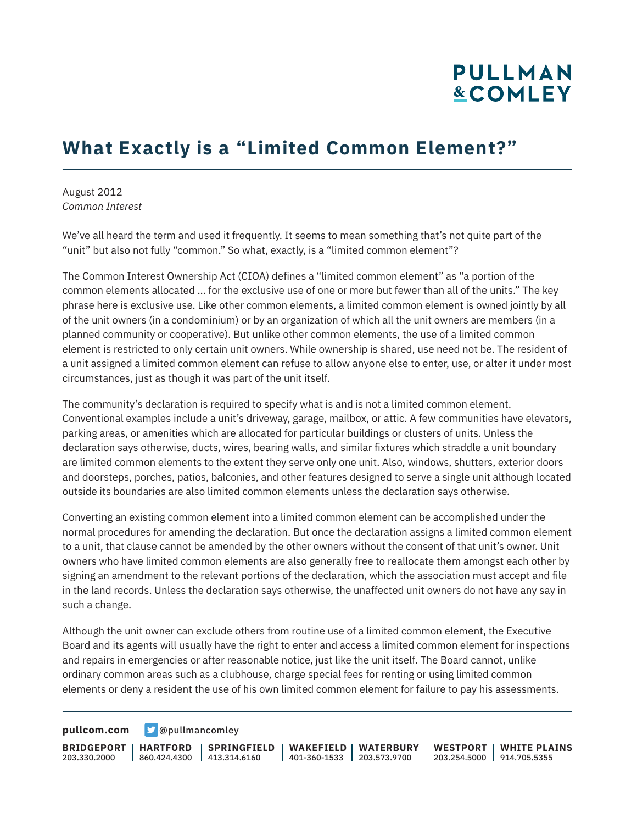# **PULLMAN &COMLEY**

### **What Exactly is a "Limited Common Element?"**

August 2012 *Common Interest*

We've all heard the term and used it frequently. It seems to mean something that's not quite part of the "unit" but also not fully "common." So what, exactly, is a "limited common element"?

The Common Interest Ownership Act (CIOA) defines a "limited common element" as "a portion of the common elements allocated … for the exclusive use of one or more but fewer than all of the units." The key phrase here is exclusive use. Like other common elements, a limited common element is owned jointly by all of the unit owners (in a condominium) or by an organization of which all the unit owners are members (in a planned community or cooperative). But unlike other common elements, the use of a limited common element is restricted to only certain unit owners. While ownership is shared, use need not be. The resident of a unit assigned a limited common element can refuse to allow anyone else to enter, use, or alter it under most circumstances, just as though it was part of the unit itself.

The community's declaration is required to specify what is and is not a limited common element. Conventional examples include a unit's driveway, garage, mailbox, or attic. A few communities have elevators, parking areas, or amenities which are allocated for particular buildings or clusters of units. Unless the declaration says otherwise, ducts, wires, bearing walls, and similar fixtures which straddle a unit boundary are limited common elements to the extent they serve only one unit. Also, windows, shutters, exterior doors and doorsteps, porches, patios, balconies, and other features designed to serve a single unit although located outside its boundaries are also limited common elements unless the declaration says otherwise.

Converting an existing common element into a limited common element can be accomplished under the normal procedures for amending the declaration. But once the declaration assigns a limited common element to a unit, that clause cannot be amended by the other owners without the consent of that unit's owner. Unit owners who have limited common elements are also generally free to reallocate them amongst each other by signing an amendment to the relevant portions of the declaration, which the association must accept and file in the land records. Unless the declaration says otherwise, the unaffected unit owners do not have any say in such a change.

Although the unit owner can exclude others from routine use of a limited common element, the Executive Board and its agents will usually have the right to enter and access a limited common element for inspections and repairs in emergencies or after reasonable notice, just like the unit itself. The Board cannot, unlike ordinary common areas such as a clubhouse, charge special fees for renting or using limited common elements or deny a resident the use of his own limited common element for failure to pay his assessments.

**[pullcom.com](https://www.pullcom.com) g** [@pullmancomley](https://twitter.com/PullmanComley)

**BRIDGEPORT HARTFORD** 203.330.2000

860.424.4300 413.314.6160 **SPRINGFIELD** **WAKEFIELD WATERBURY** 401-360-1533 203.573.9700